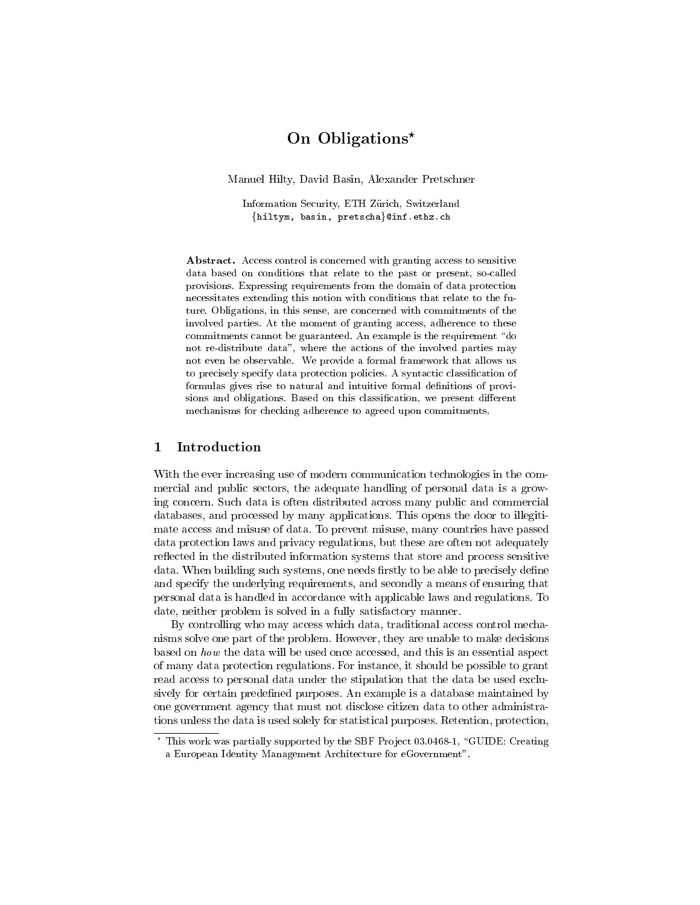# On Obligations\*

Manuel Hilty, David Basin, Alexander Pretschner

Information Security, ETH Zurich, Switzerland {hiltym, basin, pretscha}@inf.ethz.ch

Abstract. Access control is concerned with granting access to sensitive data based on conditions that relate to the past or present, so-called provisions. Expressing requirements from the domain of data protection necessitates extending this notion with conditions that relate to the future. Obligations, in this sense, are concerned with commitments of the involved parties. At the moment of granting access, adherence to these commitments cannot be guaranteed. An example is the requirement "do not re-distribute data", where the actions of the involved parties may not even be observable. We provide a formal framework that allows us to precisely specify data protection policies. A syntactic classication of formulas gives rise to natural and intuitive formal definitions of provisions and obligations. Based on this classification, we present different mechanisms for checking adherence to agreed upon commitments.

### 1 Introduction

With the ever increasing use of modern communication technologies in the commercial and public sectors, the adequate handling of personal data is a growing concern. Such data is often distributed across many public and commercial databases, and processed by many applications. This opens the door to illegitimate access and misuse of data. To prevent misuse, many countries have passed data protection laws and privacy regulations, but these are often not adequately reflected in the distributed information systems that store and process sensitive data. When building such systems, one needs firstly to be able to precisely define and specify the underlying requirements, and secondly a means of ensuring that personal data is handled in accordance with applicable laws and regulations. To date, neither problem is solved in a fully satisfactory manner.

By controlling who may access which data, traditional access control mechanisms solve one part of the problem. However, they are unable to make decisions based on how the data will be used once accessed, and this is an essential aspect of many data protection regulations. For instance, it should be possible to grant read access to personal data under the stipulation that the data be used exclusively for certain predefined purposes. An example is a database maintained by one government agency that must not disclose citizen data to other administrations unless the data is used solely for statistical purposes. Retention, protection,

 $*$  This work was partially supported by the SBF Project 03.0468-1, "GUIDE: Creating a European Identity Management Architecture for eGovernment".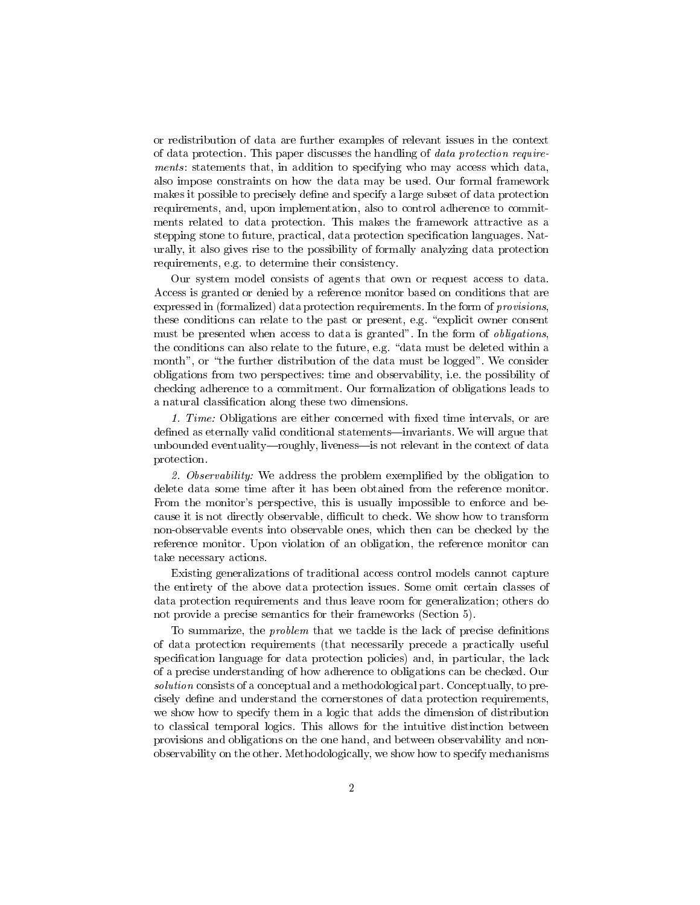or redistribution of data are further examples of relevant issues in the context of data protection. This paper discusses the handling of data protection requirements: statements that, in addition to specifying who may access which data, also impose constraints on how the data may be used. Our formal framework makes it possible to precisely define and specify a large subset of data protection requirements, and, upon implementation, also to control adherence to commitments related to data protection. This makes the framework attractive as a stepping stone to future, practical, data protection specification languages. Naturally, it also gives rise to the possibility of formally analyzing data protection requirements, e.g. to determine their consistency.

Our system model consists of agents that own or request access to data. Access is granted or denied by a reference monitor based on conditions that are expressed in (formalized) data protection requirements. In the form of provisions, these conditions can relate to the past or present, e.g. "explicit owner consent must be presented when access to data is granted". In the form of *obligations*, the conditions can also relate to the future, e.g. "data must be deleted within a month", or "the further distribution of the data must be logged". We consider obligations from two perspectives: time and observability, i.e. the possibility of checking adherence to a commitment. Our formalization of obligations leads to a natural classication along these two dimensions.

1. Time: Obligations are either concerned with fixed time intervals, or are defined as eternally valid conditional statements—invariants. We will argue that unbounded eventuality—roughly, liveness—is not relevant in the context of data protection.

2. Observability: We address the problem exemplified by the obligation to delete data some time after it has been obtained from the reference monitor. From the monitor's perspective, this is usually impossible to enforce and because it is not directly observable, difficult to check. We show how to transform non-observable events into observable ones, which then can be checked by the reference monitor. Upon violation of an obligation, the reference monitor can take necessary actions.

Existing generalizations of traditional access control models cannot capture the entirety of the above data protection issues. Some omit certain classes of data protection requirements and thus leave room for generalization; others do not provide a precise semantics for their frameworks (Section 5).

To summarize, the *problem* that we tackle is the lack of precise definitions of data protection requirements (that necessarily precede a practically useful specification language for data protection policies) and, in particular, the lack of a precise understanding of how adherence to obligations can be checked. Our solution consists of a conceptual and a methodological part. Conceptually, to precisely define and understand the cornerstones of data protection requirements, we show how to specify them in a logic that adds the dimension of distribution to classical temporal logics. This allows for the intuitive distinction between provisions and obligations on the one hand, and between observability and nonobservability on the other. Methodologically, we show how to specify mechanisms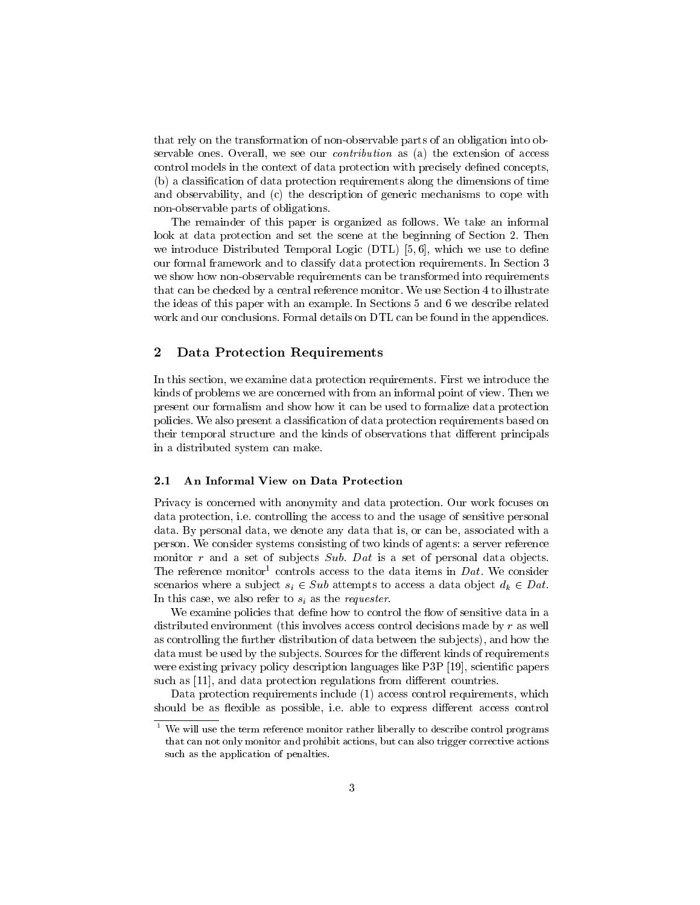that rely on the transformation of non-observable parts of an obligation into observable ones. Overall, we see our contribution as (a) the extension of access control models in the context of data protection with precisely defined concepts, (b) a classication of data protection requirements along the dimensions of time and observability, and (c) the description of generic mechanisms to cope with non-observable parts of obligations.

The remainder of this paper is organized as follows. We take an informal look at data protection and set the scene at the beginning of Section 2. Then we introduce Distributed Temporal Logic (DTL) [5, 6], which we use to define our formal framework and to classify data protection requirements. In Section 3 we show how non-observable requirements can be transformed into requirements that can be checked by a central reference monitor. We use Section 4 to illustrate the ideas of this paper with an example. In Sections 5 and 6 we describe related work and our conclusions. Formal details on DTL can be found in the appendices.

## 2 Data Protection Requirements

In this section, we examine data protection requirements. First we introduce the kinds of problems we are concerned with from an informal point of view. Then we present our formalism and show how it can be used to formalize data protection policies. We also present a classication of data protection requirements based on their temporal structure and the kinds of observations that different principals in a distributed system can make.

#### 2.1 An Informal View on Data Protection

Privacy is concerned with anonymity and data protection. Our work focuses on data protection, i.e. controlling the access to and the usage of sensitive personal data. By personal data, we denote any data that is, or can be, associated with a person. We consider systems consisting of two kinds of agents: a server reference monitor r and a set of subjects  $Sub.$  Dat is a set of personal data objects. The reference monitor<sup>1</sup> controls access to the data items in Dat. We consider scenarios where a subject  $s_i \in Sub$  attempts to access a data object  $d_k \in Dat$ . In this case, we also refer to  $s_i$  as the *requester*.

We examine policies that define how to control the flow of sensitive data in a distributed environment (this involves access control decisions made by r as well as controlling the further distribution of data between the subjects), and how the data must be used by the subjects. Sources for the different kinds of requirements were existing privacy policy description languages like P3P [19], scientific papers such as [11], and data protection regulations from different countries.

Data protection requirements include (1) access control requirements, which should be as flexible as possible, i.e. able to express different access control

 $1$  We will use the term reference monitor rather liberally to describe control programs that can not only monitor and prohibit actions, but can also trigger corrective actions such as the application of penalties.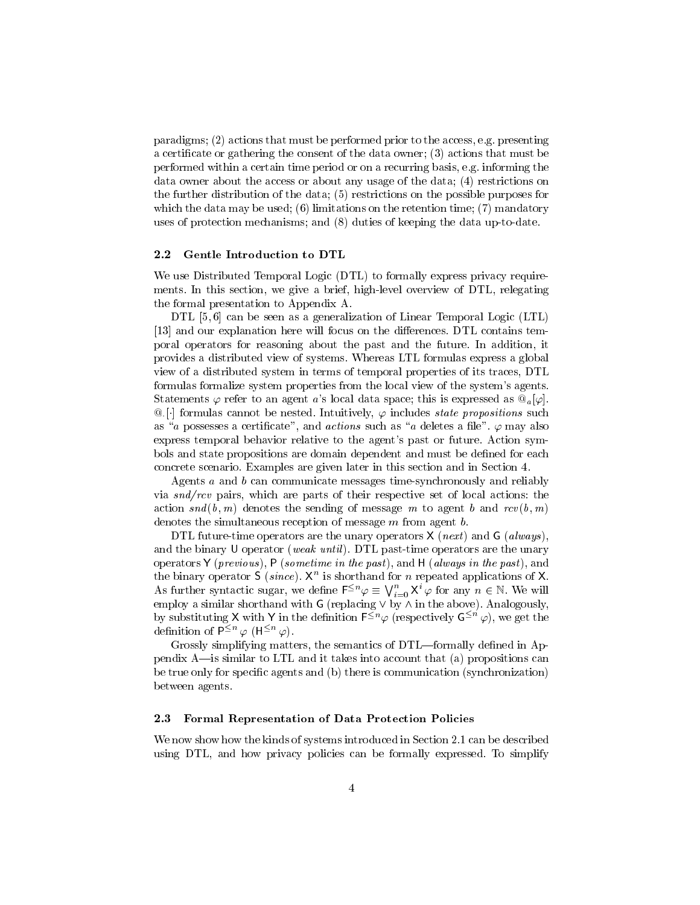paradigms; (2) actions that must be performed prior to the access, e.g. presenting a certicate or gathering the consent of the data owner; (3) actions that must be performed within a certain time period or on a recurring basis, e.g. informing the data owner about the access or about any usage of the data; (4) restrictions on the further distribution of the data; (5) restrictions on the possible purposes for which the data may be used; (6) limitations on the retention time; (7) mandatory uses of protection mechanisms; and (8) duties of keeping the data up-to-date.

#### 2.2 Gentle Introduction to DTL

We use Distributed Temporal Logic (DTL) to formally express privacy requirements. In this section, we give a brief, high-level overview of DTL, relegating the formal presentation to Appendix A.

DTL [5, 6] can be seen as a generalization of Linear Temporal Logic (LTL) [13] and our explanation here will focus on the differences. DTL contains temporal operators for reasoning about the past and the future. In addition, it provides a distributed view of systems. Whereas LTL formulas express a global view of a distributed system in terms of temporal properties of its traces, DTL formulas formalize system properties from the local view of the system's agents. Statements  $\varphi$  refer to an agent a's local data space; this is expressed as  $\mathcal{Q}_a[\varphi]$ . **Q.**[ $\cdot$ ] formulas cannot be nested. Intuitively,  $\varphi$  includes *state propositions* such as "a possesses a certificate", and *actions* such as "a deletes a file".  $\varphi$  may also express temporal behavior relative to the agent's past or future. Action symbols and state propositions are domain dependent and must be defined for each concrete scenario. Examples are given later in this section and in Section 4.

Agents  $a$  and  $b$  can communicate messages time-synchronously and reliably via  $\frac{snd}{rcv}$  pairs, which are parts of their respective set of local actions: the action  $\text{snd}(b, m)$  denotes the sending of message m to agent b and  $\text{rcv}(b, m)$ denotes the simultaneous reception of message  $m$  from agent  $b$ .

DTL future-time operators are the unary operators  $X$  (*next*) and  $G$  (*always*). and the binary U operator (weak until). DTL past-time operators are the unary operators Y (*previous*), P (*sometime in the past*), and H (*always in the past*), and the binary operator S (since).  $X^n$  is shorthand for n repeated applications of X. As further syntactic sugar, we define  $F^{\leq n} \varphi \equiv \bigvee_{i=0}^{n} X^{i} \varphi$  for any  $n \in \mathbb{N}$ . We will employ a similar shorthand with  ${\mathsf G}$  (replacing  $\lor$  by  $\land$  in the above). Analogously, by substituting X with Y in the definition  $F^{\leq n} \varphi$  (respectively  $G^{\leq n} \varphi$ ), we get the definition of  $\mathsf{P}^{\leq n} \varphi$  ( $\mathsf{H}^{\leq n} \varphi$ ).

Grossly simplifying matters, the semantics of DTL—formally defined in Appendix  $A$ —is similar to LTL and it takes into account that (a) propositions can be true only for specific agents and (b) there is communication (synchronization) between agents.

#### 2.3 Formal Representation of Data Protection Policies

We now show how the kinds of systems introduced in Section 2.1 can be described using DTL, and how privacy policies can be formally expressed. To simplify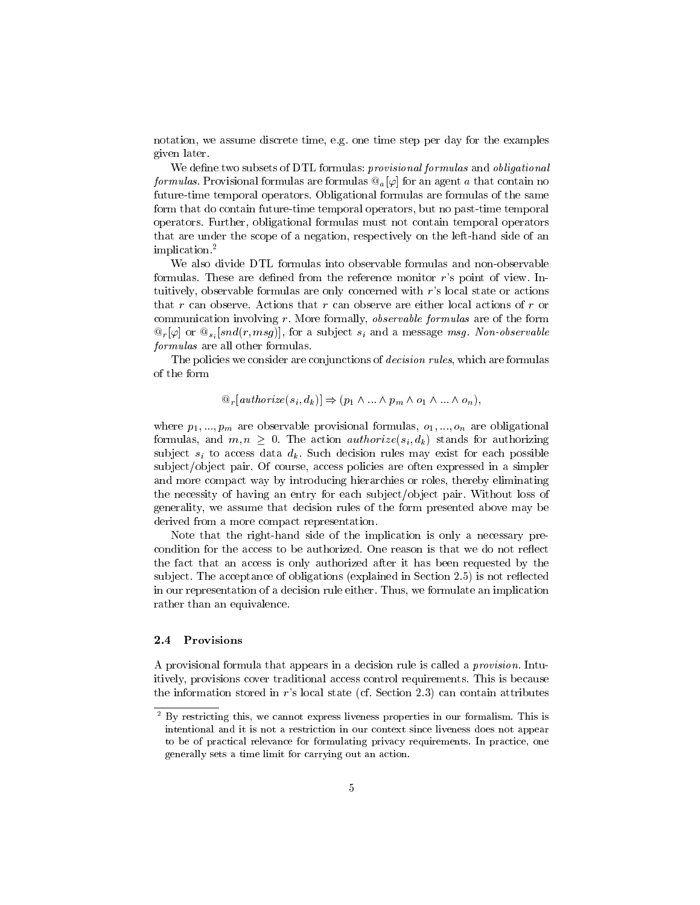notation, we assume discrete time, e.g. one time step per day for the examples given later.

We define two subsets of DTL formulas: *provisional formulas* and *obligational formulas*. Provisional formulas are formulas  $\mathbb{Q}_a[\varphi]$  for an agent a that contain no future-time temporal operators. Obligational formulas are formulas of the same form that do contain future-time temporal operators, but no past-time temporal operators. Further, obligational formulas must not contain temporal operators that are under the scope of a negation, respectively on the left-hand side of an implication.<sup>2</sup>

We also divide DTL formulas into observable formulas and non-observable formulas. These are defined from the reference monitor  $r$ 's point of view. Intuitively, observable formulas are only concerned with r's local state or actions that r can observe. Actions that r can observe are either local actions of r or communication involving r. More formally, observable formulas are of the form  $\mathcal{Q}_r[\varphi]$  or  $\mathcal{Q}_{s_i}[snd(r, msg)],$  for a subject  $s_i$  and a message msg. Non-observable formulas are all other formulas.

The policies we consider are conjunctions of *decision rules*, which are formulas of the form

$$
\mathbb{Q}_r[authorize(s_i, d_k)] \Rightarrow (p_1 \land ... \land p_m \land o_1 \land ... \land o_n),
$$

where  $p_1, ..., p_m$  are observable provisional formulas,  $o_1, ..., o_n$  are obligational formulas, and  $m, n \geq 0$ . The action  $\mathit{authorize}(s_i, d_k)$  stands for authorizing subject  $s_i$  to access data  $d_k$ . Such decision rules may exist for each possible subject/object pair. Of course, access policies are often expressed in a simpler and more compact way by introducing hierarchies or roles, thereby eliminating the necessity of having an entry for each subject/object pair. Without loss of generality, we assume that decision rules of the form presented above may be derived from a more compact representation.

Note that the right-hand side of the implication is only a necessary precondition for the access to be authorized. One reason is that we do not reflect the fact that an access is only authorized after it has been requested by the subject. The acceptance of obligations (explained in Section  $(2.5)$ ) is not reflected in our representation of a decision rule either. Thus, we formulate an implication rather than an equivalence.

#### 2.4 Provisions

A provisional formula that appears in a decision rule is called a provision. Intuitively, provisions cover traditional access control requirements. This is because the information stored in r's local state (cf. Section 2.3) can contain attributes

<sup>&</sup>lt;sup>2</sup> By restricting this, we cannot express liveness properties in our formalism. This is intentional and it is not a restriction in our context since liveness does not appear to be of practical relevance for formulating privacy requirements. In practice, one generally sets a time limit for carrying out an action.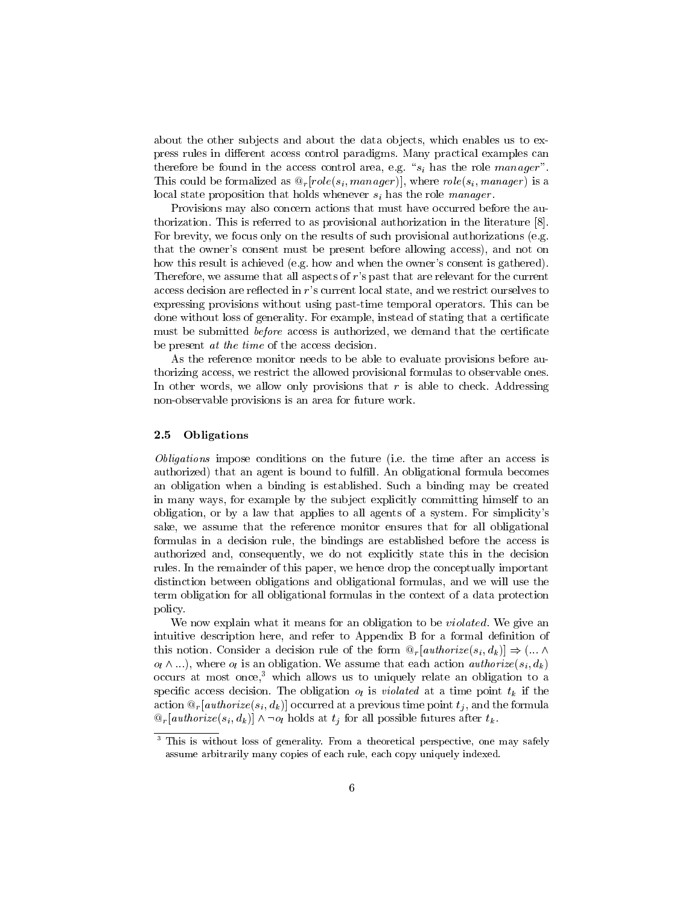about the other subjects and about the data objects, which enables us to express rules in different access control paradigms. Many practical examples can therefore be found in the access control area, e.g. " $s_i$  has the role manager". This could be formalized as  $@_{r}[role(s_{i}, manager)] ,$  where  $role(s_{i}, manager)$  is a local state proposition that holds whenever  $s_i$  has the role manager.

Provisions may also concern actions that must have occurred before the authorization. This is referred to as provisional authorization in the literature [8]. For brevity, we focus only on the results of such provisional authorizations (e.g. that the owner's consent must be present before allowing access), and not on how this result is achieved (e.g. how and when the owner's consent is gathered). Therefore, we assume that all aspects of r's past that are relevant for the current access decision are reflected in r's current local state, and we restrict ourselves to expressing provisions without using past-time temporal operators. This can be done without loss of generality. For example, instead of stating that a certificate must be submitted *before* access is authorized, we demand that the certificate be present at the time of the access decision.

As the reference monitor needs to be able to evaluate provisions before authorizing access, we restrict the allowed provisional formulas to observable ones. In other words, we allow only provisions that  $r$  is able to check. Addressing non-observable provisions is an area for future work.

#### 2.5 Obligations

Obligations impose conditions on the future (i.e. the time after an access is authorized) that an agent is bound to fulfill. An obligational formula becomes an obligation when a binding is established. Such a binding may be created in many ways, for example by the subject explicitly committing himself to an obligation, or by a law that applies to all agents of a system. For simplicity's sake, we assume that the reference monitor ensures that for all obligational formulas in a decision rule, the bindings are established before the access is authorized and, consequently, we do not explicitly state this in the decision rules. In the remainder of this paper, we hence drop the conceptually important distinction between obligations and obligational formulas, and we will use the term obligation for all obligational formulas in the context of a data protection policy.

We now explain what it means for an obligation to be *violated*. We give an intuitive description here, and refer to Appendix B for a formal definition of this notion. Consider a decision rule of the form  $\mathbb{Q}_r[authorize(s_i, d_k)] \Rightarrow (...\land$  $o_l \wedge ...$ ), where  $o_l$  is an obligation. We assume that each action  $\mathit{authorize}(s_i, d_k)$ occurs at most once,<sup>3</sup> which allows us to uniquely relate an obligation to a specific access decision. The obligation  $o_l$  is violated at a time point  $t_k$  if the action  $@_{r}[authorize(s_{i}, d_{k})]$  occurred at a previous time point  $t_{j},$  and the formula  $\mathbb{Q}_r[authorize(s_i, d_k)] \wedge \neg o_l$  holds at  $t_j$  for all possible futures after  $t_k$ .

<sup>&</sup>lt;sup>3</sup> This is without loss of generality. From a theoretical perspective, one may safely assume arbitrarily many copies of each rule, each copy uniquely indexed.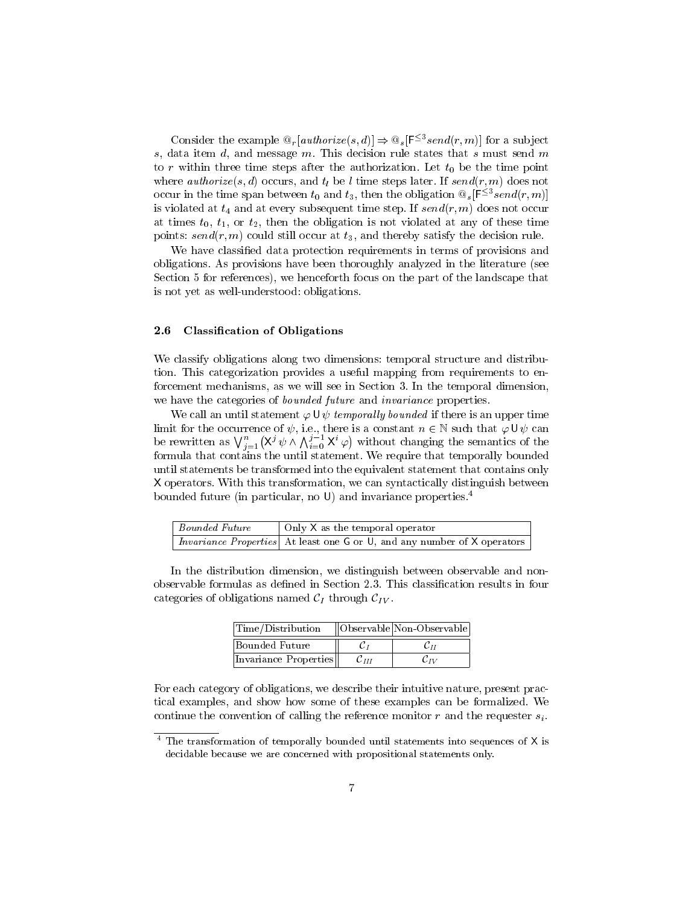Consider the example  $\mathbb{Q}_r[authorize(s, d)] \Rightarrow \mathbb{Q}_s[ F^{\leq 3} send(r, m)]$  for a subject s, data item d, and message m. This decision rule states that s must send  $m$ to r within three time steps after the authorization. Let  $t_0$  be the time point where *authorize*(s, d) occurs, and  $t_l$  be l time steps later. If send(r, m) does not occur in the time span between  $t_0$  and  $t_3$ , then the obligation  $\mathbb{Q}_s[\mathsf{F}^{\leq 3} send(r,m)]$ is violated at  $t_4$  and at every subsequent time step. If  $send(r, m)$  does not occur at times  $t_0$ ,  $t_1$ , or  $t_2$ , then the obligation is not violated at any of these time points: send $(r, m)$  could still occur at  $t_3$ , and thereby satisfy the decision rule.

We have classied data protection requirements in terms of provisions and obligations. As provisions have been thoroughly analyzed in the literature (see Section 5 for references), we henceforth focus on the part of the landscape that is not yet as well-understood: obligations.

#### 2.6 Classication of Obligations

We classify obligations along two dimensions: temporal structure and distribution. This categorization provides a useful mapping from requirements to enforcement mechanisms, as we will see in Section 3. In the temporal dimension, we have the categories of *bounded future* and *invariance* properties.

We call an until statement  $\varphi \cup \psi$  temporally bounded if there is an upper time limit for the occurrence of  $\psi,$  i.e., there is a constant  $n \in \mathbb{N}$  such that  $\varphi \mathsf{U} \, \psi$  can be rewritten as  $\bigvee_{j=1}^{n} (X^j \psi \wedge \bigwedge_{i=0}^{j-1} X^i \varphi)$  without changing the semantics of the formula that contains the until statement. We require that temporally bounded until statements be transformed into the equivalent statement that contains only X operators. With this transformation, we can syntactically distinguish between bounded future (in particular, no U) and invariance properties.<sup>4</sup>

| <i>Bounded Future</i> | Only X as the temporal operator                                                 |
|-----------------------|---------------------------------------------------------------------------------|
|                       | <i>Invariance Properties</i> At least one G or U, and any number of X operators |

In the distribution dimension, we distinguish between observable and nonobservable formulas as defined in Section 2.3. This classification results in four categories of obligations named  $\mathcal{C}_I$  through  $\mathcal{C}_{IV}$ .

| Time/Distribution     |                     | $\vert$ Observable $\vert$ Non-Observable |
|-----------------------|---------------------|-------------------------------------------|
| Bounded Future        |                     | $C_{II}$                                  |
| Invariance Properties | $\mathcal{C}_{III}$ | Сīv                                       |

For each category of obligations, we describe their intuitive nature, present practical examples, and show how some of these examples can be formalized. We continue the convention of calling the reference monitor  $r$  and the requester  $s_i$ .

<sup>&</sup>lt;sup>4</sup> The transformation of temporally bounded until statements into sequences of X is decidable because we are concerned with propositional statements only.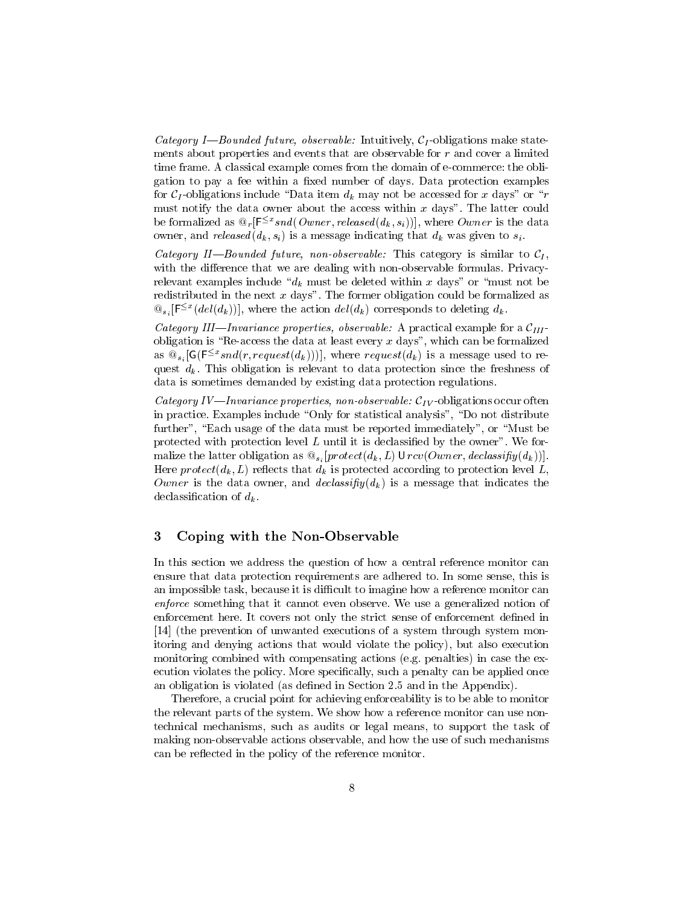Category I—Bounded future, observable: Intuitively,  $C_I$ -obligations make statements about properties and events that are observable for  $r$  and cover a limited time frame. A classical example comes from the domain of e-commerce: the obligation to pay a fee within a fixed number of days. Data protection examples for  $C_I$ -obligations include "Data item  $d_k$  may not be accessed for x days" or "r must notify the data owner about the access within  $x$  days". The latter could be formalized as  $\mathbb{Q}_r[\mathsf{F}^{\leq x}\mathit{snd}(\textit{Owner}, \textit{released}\left(d_k, s_i\right))],$  where  $\textit{Owner}$  is the data owner, and  $released(d_k, s_i)$  is a message indicating that  $d_k$  was given to  $s_i$ .

Category II—Bounded future, non-observable: This category is similar to  $\mathcal{C}_I$ , with the difference that we are dealing with non-observable formulas. Privacyrelevant examples include " $d_k$  must be deleted within x days" or "must not be redistributed in the next  $x$  days". The former obligation could be formalized as  $\mathbb{Q}_{s_i}[\mathsf{F}^{\leq x}(del(d_k))],$  where the action  $del(d_k)$  corresponds to deleting  $d_k$ .

Category III—Invariance properties, observable: A practical example for a  $\mathcal{C}_{III}$ obligation is "Re-access the data at least every  $x$  days", which can be formalized as  $\mathbb{Q}_{s_i}[\mathsf{G}(\mathsf{F}^{\leq x} snd(r, request(d_k)))],$  where  $request(d_k)$  is a message used to request  $d_k$ . This obligation is relevant to data protection since the freshness of data is sometimes demanded by existing data protection regulations.

Category IV—Invariance properties, non-observable:  $\mathcal{C}_{IV}$ -obligations occur often in practice. Examples include "Only for statistical analysis", "Do not distribute further", "Each usage of the data must be reported immediately", or "Must be protected with protection level  $L$  until it is declassified by the owner". We formalize the latter obligation as  $\mathbb{Q}_{s_i}[\text{protect}(d_k,L) \cup \text{rcv}(Owner, declaresify(d_k))].$ Here protect $(d_k, L)$  reflects that  $d_k$  is protected according to protection level L, Owner is the data owner, and declassify  $(d_k)$  is a message that indicates the declassification of  $d_k$ .

### 3 Coping with the Non-Observable

In this section we address the question of how a central reference monitor can ensure that data protection requirements are adhered to. In some sense, this is an impossible task, because it is difficult to imagine how a reference monitor can enforce something that it cannot even observe. We use a generalized notion of enforcement here. It covers not only the strict sense of enforcement defined in [14] (the prevention of unwanted executions of a system through system monitoring and denying actions that would violate the policy), but also execution monitoring combined with compensating actions (e.g. penalties) in case the execution violates the policy. More specically, such a penalty can be applied once an obligation is violated (as defined in Section 2.5 and in the Appendix).

Therefore, a crucial point for achieving enforceability is to be able to monitor the relevant parts of the system. We show how a reference monitor can use nontechnical mechanisms, such as audits or legal means, to support the task of making non-observable actions observable, and how the use of such mechanisms can be reflected in the policy of the reference monitor.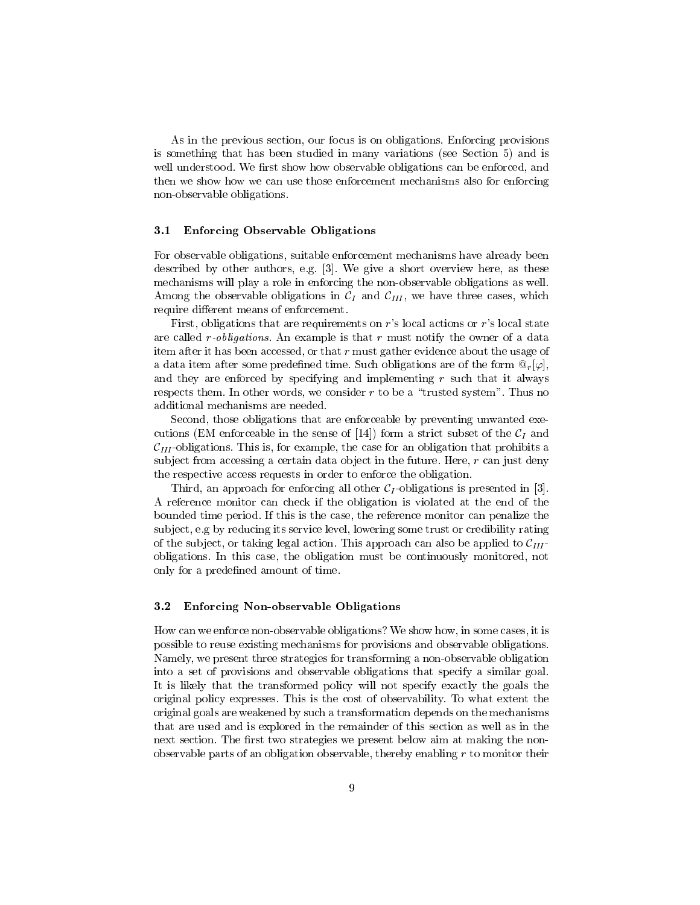As in the previous section, our focus is on obligations. Enforcing provisions is something that has been studied in many variations (see Section 5) and is well understood. We first show how observable obligations can be enforced, and then we show how we can use those enforcement mechanisms also for enforcing non-observable obligations.

#### 3.1 Enforcing Observable Obligations

For observable obligations, suitable enforcement mechanisms have already been described by other authors, e.g. [3]. We give a short overview here, as these mechanisms will play a role in enforcing the non-observable obligations as well. Among the observable obligations in  $C_I$  and  $C_{III}$ , we have three cases, which require different means of enforcement.

First, obligations that are requirements on r's local actions or r's local state are called r-obligations. An example is that r must notify the owner of a data item after it has been accessed, or that  $r$  must gather evidence about the usage of a data item after some predefined time. Such obligations are of the form  $\mathbb{Q}_r[\varphi],$ and they are enforced by specifying and implementing  $r$  such that it always respects them. In other words, we consider  $r$  to be a "trusted system". Thus no additional mechanisms are needed.

Second, those obligations that are enforceable by preventing unwanted executions (EM enforceable in the sense of [14]) form a strict subset of the  $\mathcal{C}_I$  and  $\mathcal{C}_{III}$ -obligations. This is, for example, the case for an obligation that prohibits a subject from accessing a certain data object in the future. Here, r can just deny the respective access requests in order to enforce the obligation.

Third, an approach for enforcing all other  $C_I$ -obligations is presented in [3]. A reference monitor can check if the obligation is violated at the end of the bounded time period. If this is the case, the reference monitor can penalize the subject, e.g by reducing its service level, lowering some trust or credibility rating of the subject, or taking legal action. This approach can also be applied to  $C_{III}$ obligations. In this case, the obligation must be continuously monitored, not only for a predened amount of time.

#### 3.2 Enforcing Non-observable Obligations

How can we enforce non-observable obligations? We show how, in some cases, it is possible to reuse existing mechanisms for provisions and observable obligations. Namely, we present three strategies for transforming a non-observable obligation into a set of provisions and observable obligations that specify a similar goal. It is likely that the transformed policy will not specify exactly the goals the original policy expresses. This is the cost of observability. To what extent the original goals are weakened by such a transformation depends on the mechanisms that are used and is explored in the remainder of this section as well as in the next section. The first two strategies we present below aim at making the nonobservable parts of an obligation observable, thereby enabling  $r$  to monitor their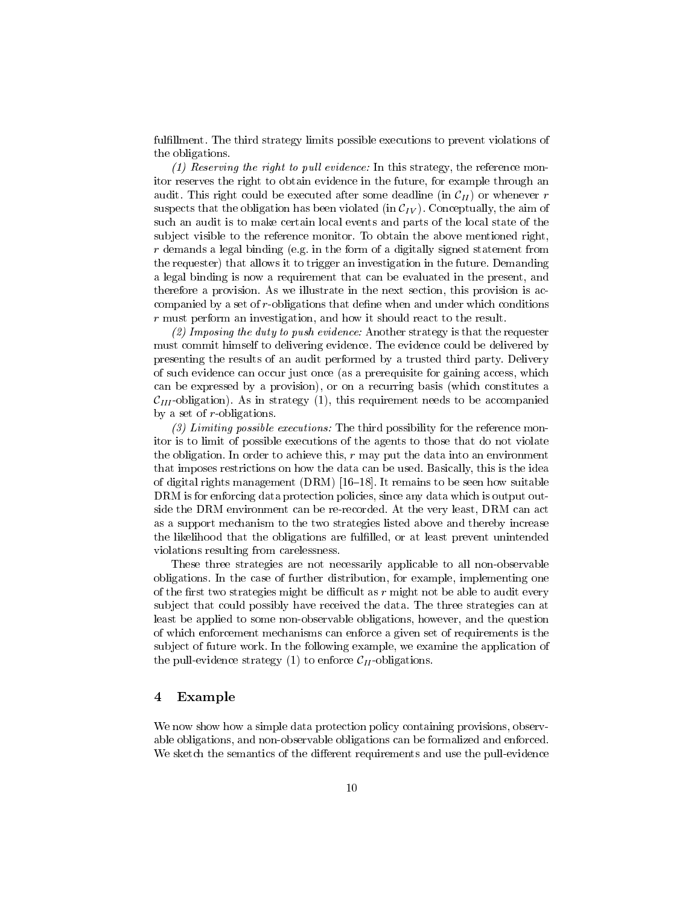fulllment. The third strategy limits possible executions to prevent violations of the obligations.

(1) Reserving the right to pull evidence: In this strategy, the reference monitor reserves the right to obtain evidence in the future, for example through an audit. This right could be executed after some deadline (in  $\mathcal{C}_{II}$ ) or whenever r suspects that the obligation has been violated (in  $\mathcal{C}_{IV}$ ). Conceptually, the aim of such an audit is to make certain local events and parts of the local state of the subject visible to the reference monitor. To obtain the above mentioned right,  $r$  demands a legal binding (e.g. in the form of a digitally signed statement from the requester) that allows it to trigger an investigation in the future. Demanding a legal binding is now a requirement that can be evaluated in the present, and therefore a provision. As we illustrate in the next section, this provision is accompanied by a set of r-obligations that define when and under which conditions r must perform an investigation, and how it should react to the result.

(2) Imposing the duty to push evidence: Another strategy is that the requester must commit himself to delivering evidence. The evidence could be delivered by presenting the results of an audit performed by a trusted third party. Delivery of such evidence can occur just once (as a prerequisite for gaining access, which can be expressed by a provision), or on a recurring basis (which constitutes a  $\mathcal{C}_{III}$ -obligation). As in strategy (1), this requirement needs to be accompanied by a set of  $r$ -obligations.

 $(3)$  Limiting possible executions: The third possibility for the reference monitor is to limit of possible executions of the agents to those that do not violate the obligation. In order to achieve this, r may put the data into an environment that imposes restrictions on how the data can be used. Basically, this is the idea of digital rights management (DRM)  $[16–18]$ . It remains to be seen how suitable DRM is for enforcing data protection policies, since any data which is output outside the DRM environment can be re-recorded. At the very least, DRM can act as a support mechanism to the two strategies listed above and thereby increase the likelihood that the obligations are fullled, or at least prevent unintended violations resulting from carelessness.

These three strategies are not necessarily applicable to all non-observable obligations. In the case of further distribution, for example, implementing one of the first two strategies might be difficult as  $r$  might not be able to audit every subject that could possibly have received the data. The three strategies can at least be applied to some non-observable obligations, however, and the question of which enforcement mechanisms can enforce a given set of requirements is the subject of future work. In the following example, we examine the application of the pull-evidence strategy (1) to enforce  $\mathcal{C}_{II}$ -obligations.

### 4 Example

We now show how a simple data protection policy containing provisions, observable obligations, and non-observable obligations can be formalized and enforced. We sketch the semantics of the different requirements and use the pull-evidence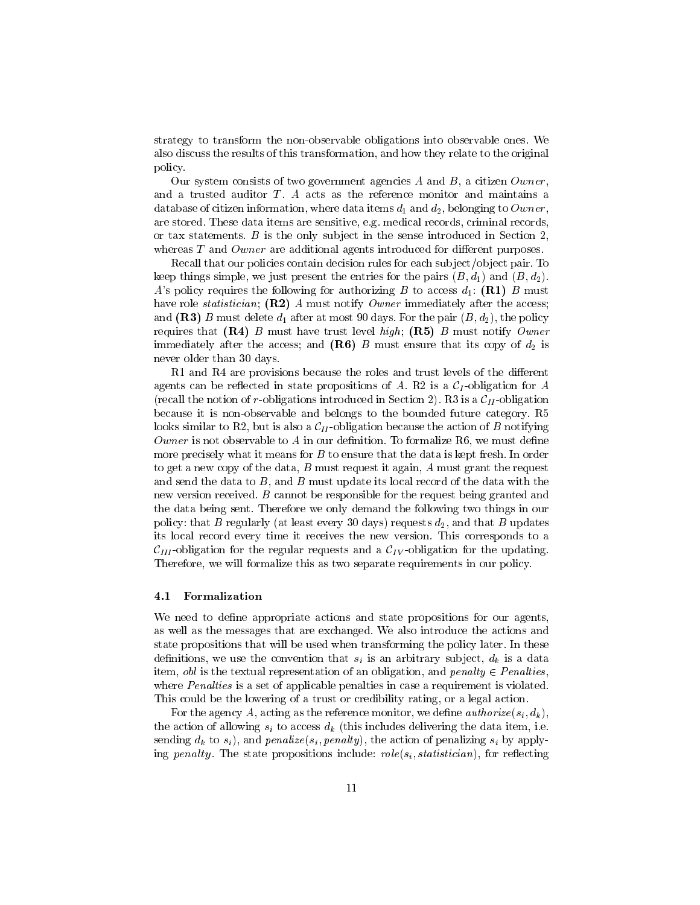strategy to transform the non-observable obligations into observable ones. We also discuss the results of this transformation, and how they relate to the original policy.

Our system consists of two government agencies A and B, a citizen  $Owner$ , and a trusted auditor T. A acts as the reference monitor and maintains a database of citizen information, where data items  $d_1$  and  $d_2$ , belonging to Owner, are stored. These data items are sensitive, e.g. medical records, criminal records, or tax statements. B is the only subject in the sense introduced in Section 2, whereas  $T$  and  $Owner$  are additional agents introduced for different purposes.

Recall that our policies contain decision rules for each subject/object pair. To keep things simple, we just present the entries for the pairs  $(B, d_1)$  and  $(B, d_2)$ . A's policy requires the following for authorizing B to access  $d_1$ : (R1) B must have role *statistician*;  $(R2)$  A must notify *Owner* immediately after the access; and (R3) B must delete  $d_1$  after at most 90 days. For the pair  $(B, d_2)$ , the policy requires that  $(R4)$  B must have trust level high;  $(R5)$  B must notify Owner immediately after the access; and  $(R6)$  B must ensure that its copy of  $d_2$  is never older than 30 days.

R1 and R4 are provisions because the roles and trust levels of the different agents can be reflected in state propositions of A. R2 is a  $\mathcal{C}_I$ -obligation for A (recall the notion of r-obligations introduced in Section 2). R3 is a  $\mathcal{C}_{II}$ -obligation because it is non-observable and belongs to the bounded future category. R5 looks similar to R2, but is also a  $\mathcal{C}_H$ -obligation because the action of B notifying Owner is not observable to  $A$  in our definition. To formalize R6, we must define more precisely what it means for  $B$  to ensure that the data is kept fresh. In order to get a new copy of the data,  $B$  must request it again,  $A$  must grant the request and send the data to  $B$ , and  $B$  must update its local record of the data with the new version received. B cannot be responsible for the request being granted and the data being sent. Therefore we only demand the following two things in our policy: that B regularly (at least every 30 days) requests  $d_2$ , and that B updates its local record every time it receives the new version. This corresponds to a  $\mathcal{C}_{III}$ -obligation for the regular requests and a  $\mathcal{C}_{IV}$ -obligation for the updating. Therefore, we will formalize this as two separate requirements in our policy.

#### 4.1 Formalization

We need to define appropriate actions and state propositions for our agents. as well as the messages that are exchanged. We also introduce the actions and state propositions that will be used when transforming the policy later. In these definitions, we use the convention that  $s_i$  is an arbitrary subject,  $d_k$  is a data item, *obl* is the textual representation of an obligation, and *penalty*  $\in$  *Penalties*. where *Penalties* is a set of applicable penalties in case a requirement is violated. This could be the lowering of a trust or credibility rating, or a legal action.

For the agency  $A,$  acting as the reference monitor, we define  $\mathit{authorize}\left( s_{i},d_{k}\right),$ the action of allowing  $s_i$  to access  $d_k$  (this includes delivering the data item, i.e. sending  $d_k$  to  $s_i$ ), and  $penalize(s_i, penalty)$ , the action of penalizing  $s_i$  by applying penalty. The state propositions include:  $role(s_i, statistician)$ , for reflecting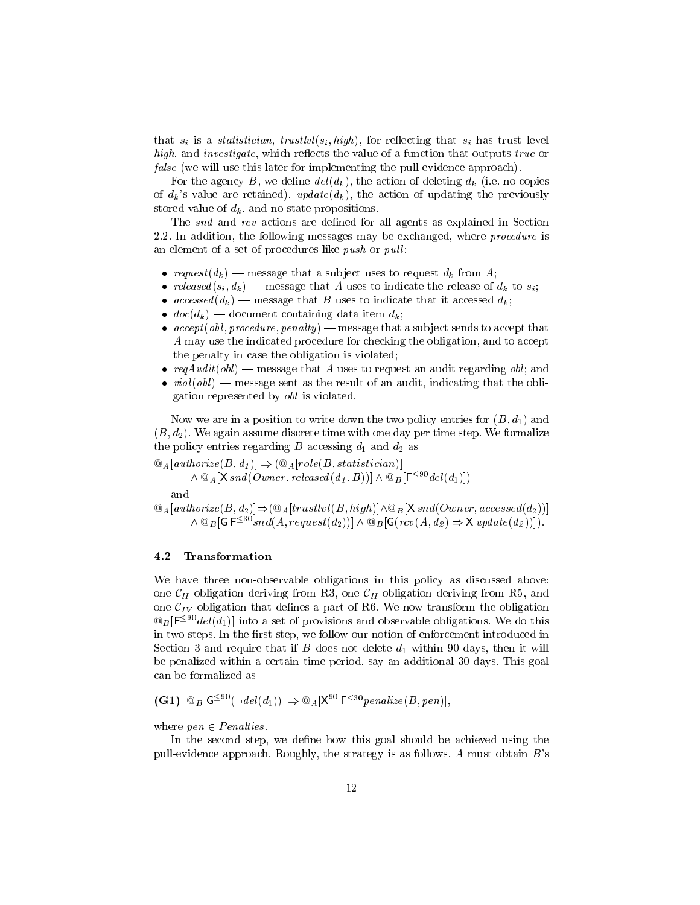that  $s_i$  is a *statistician*, trustlvl( $s_i$ , high), for reflecting that  $s_i$  has trust level high, and investigate, which reflects the value of a function that outputs true or false (we will use this later for implementing the pull-evidence approach).

For the agency B, we define  $del(d_k)$ , the action of deleting  $d_k$  (i.e. no copies of  $d_k$ 's value are retained), update $(d_k)$ , the action of updating the previously stored value of  $d_k$ , and no state propositions.

The *snd* and rcv actions are defined for all agents as explained in Section 2.2. In addition, the following messages may be exchanged, where *procedure* is an element of a set of procedures like push or pull:

- request( $d_k$ ) message that a subject uses to request  $d_k$  from A;
- released( $s_i, d_k$ ) message that A uses to indicate the release of  $d_k$  to  $s_i$ ;
- $accessed(d_k)$  message that B uses to indicate that it accessed  $d_k$ ;
- $doc(d_k)$  document containing data item  $d_k$ ;
- $accept(obj, procedure, penalty)$  message that a subject sends to accept that A may use the indicated procedure for checking the obligation, and to accept the penalty in case the obligation is violated;
- $reqMulti(obj)$  message that A uses to request an audit regarding obl; and
- $viol(obl)$  message sent as the result of an audit, indicating that the obligation represented by obl is violated.

Now we are in a position to write down the two policy entries for  $(B, d_1)$  and  $(B, d_2)$ . We again assume discrete time with one day per time step. We formalize the policy entries regarding B accessing  $d_1$  and  $d_2$  as

 $\mathcal{Q}_A[authorize(B, d_1)] \Rightarrow (\mathcal{Q}_A[role(B, statistician)])$ 

 $\wedge \mathcal{Q}_A[\mathsf{X}]$  and  $(Owner, released(d_1, B))] \wedge \mathcal{Q}_B[\mathsf{F}^{\leq 90}del(d_1)])$ 

and

 $\mathcal{A}[authorize(B, d_2)] \Rightarrow (\mathcal{A}[trustlvl(B, high)] \land \mathcal{A}[K, sid(Owner, accessed(d_2))]$  $\wedge \mathcal{Q}_B[G F^{\leq 30} \text{snd}(A, \text{request}(d_2))] \wedge \mathcal{Q}_B[G(\text{rcv}(A, d_2) \Rightarrow X \text{update}(d_2))]).$ 

#### 4.2 Transformation

We have three non-observable obligations in this policy as discussed above: one  $\mathcal{C}_H$ -obligation deriving from R3, one  $\mathcal{C}_H$ -obligation deriving from R5, and one  $\mathcal{C}_{IV}$ -obligation that defines a part of R6. We now transform the obligation  $\mathbb{Q}_B[\mathsf{F}^{\leq 90}del(\check{d}_1)]$  into a set of provisions and observable obligations. We do this in two steps. In the first step, we follow our notion of enforcement introduced in Section 3 and require that if B does not delete  $d_1$  within 90 days, then it will be penalized within a certain time period, say an additional 30 days. This goal can be formalized as

(G1) 
$$
\mathbb{Q}_B[\mathsf{G}^{\leq 90}(\neg \text{del}(d_1))] \Rightarrow \mathbb{Q}_A[\mathsf{X}^{90} \mathsf{F}^{\leq 30} \text{penalize}(B, \text{pen})],
$$

where  $pen \in Penalties$ .

In the second step, we define how this goal should be achieved using the pull-evidence approach. Roughly, the strategy is as follows. A must obtain B's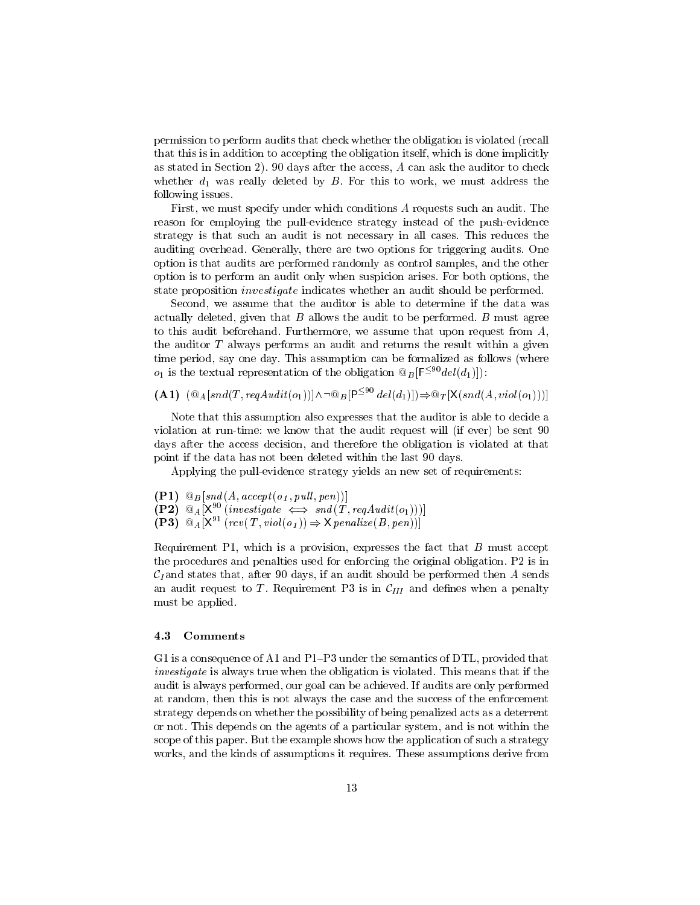permission to perform audits that check whether the obligation is violated (recall that this is in addition to accepting the obligation itself, which is done implicitly as stated in Section 2). 90 days after the access, A can ask the auditor to check whether  $d_1$  was really deleted by  $B$ . For this to work, we must address the following issues.

First, we must specify under which conditions A requests such an audit. The reason for employing the pull-evidence strategy instead of the push-evidence strategy is that such an audit is not necessary in all cases. This reduces the auditing overhead. Generally, there are two options for triggering audits. One option is that audits are performed randomly as control samples, and the other option is to perform an audit only when suspicion arises. For both options, the state proposition investigate indicates whether an audit should be performed.

Second, we assume that the auditor is able to determine if the data was actually deleted, given that  $B$  allows the audit to be performed.  $B$  must agree to this audit beforehand. Furthermore, we assume that upon request from A, the auditor  $T$  always performs an audit and returns the result within a given time period, say one day. This assumption can be formalized as follows (where  $o_1$  is the textual representation of the obligation  $\mathbb{Q}_B[\mathsf{F}^{\leq 90}del(d_1)]$ :

$$
(A1) \ (\text{Q}_A[snd(T, \text{reqAut}(o_1))] \wedge \neg \text{Q}_B[P^{\leq 90}\text{ del }(d_1)]) \Rightarrow \text{Q}_T[X(\text{snd}(A, \text{viol}(o_1)))]
$$

Note that this assumption also expresses that the auditor is able to decide a violation at run-time: we know that the audit request will (if ever) be sent 90 days after the access decision, and therefore the obligation is violated at that point if the data has not been deleted within the last 90 days.

Applying the pull-evidence strategy yields an new set of requirements:

 $(P1)$   $@_B[snd(A, accept(o_1, pull, pen))]$  $( \textbf{P2}) \ \ \textcircled{a}_{A} \big[ \textsf{X}^{90} \ (investigate \iff \text{snd}(\textit{T}, \text{req} \textit{A}\textit{u} \textit{d} \textit{t}(o_1))) \big]$  $( P3) \ @A [X^{91} (rev(T, viol(o_1)) \Rightarrow X \text{ penalize}(B, pen))]$ 

Requirement P1, which is a provision, expresses the fact that  $B$  must accept the procedures and penalties used for enforcing the original obligation. P2 is in  $C_I$  and states that, after 90 days, if an audit should be performed then A sends an audit request to T. Requirement P3 is in  $C_{III}$  and defines when a penalty must be applied.

#### 4.3 Comments

G1 is a consequence of A1 and  $P1-P3$  under the semantics of DTL, provided that investigate is always true when the obligation is violated. This means that if the audit is always performed, our goal can be achieved. If audits are only performed at random, then this is not always the case and the success of the enforcement strategy depends on whether the possibility of being penalized acts as a deterrent or not. This depends on the agents of a particular system, and is not within the scope of this paper. But the example shows how the application of such a strategy works, and the kinds of assumptions it requires. These assumptions derive from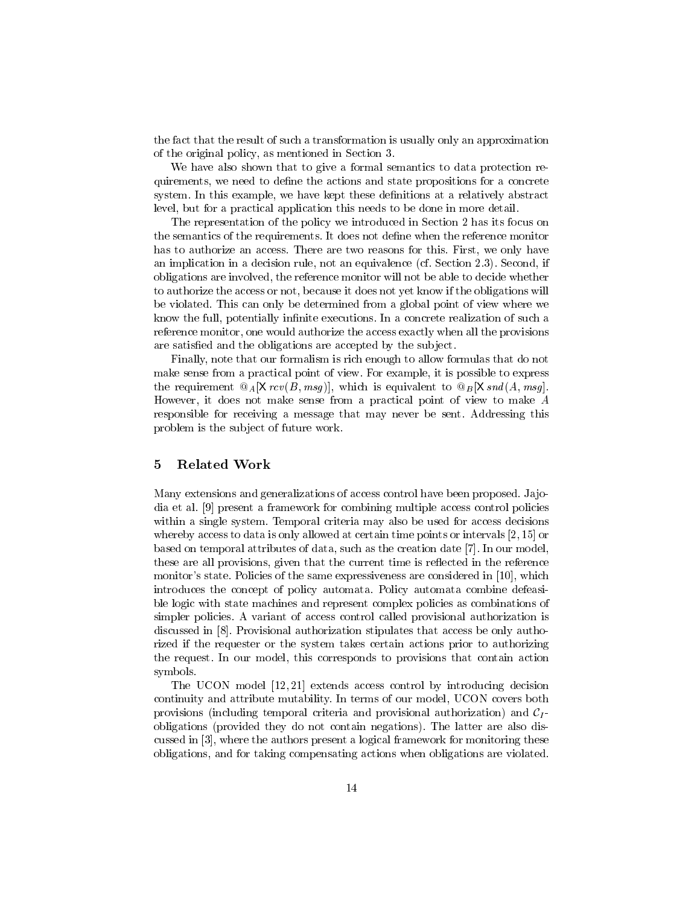the fact that the result of such a transformation is usually only an approximation of the original policy, as mentioned in Section 3.

We have also shown that to give a formal semantics to data protection requirements, we need to define the actions and state propositions for a concrete system. In this example, we have kept these definitions at a relatively abstract level, but for a practical application this needs to be done in more detail.

The representation of the policy we introduced in Section 2 has its focus on the semantics of the requirements. It does not define when the reference monitor has to authorize an access. There are two reasons for this. First, we only have an implication in a decision rule, not an equivalence (cf. Section 2.3). Second, if obligations are involved, the reference monitor will not be able to decide whether to authorize the access or not, because it does not yet know if the obligations will be violated. This can only be determined from a global point of view where we know the full, potentially infinite executions. In a concrete realization of such a reference monitor, one would authorize the access exactly when all the provisions are satisfied and the obligations are accepted by the subject.

Finally, note that our formalism is rich enough to allow formulas that do not make sense from a practical point of view. For example, it is possible to express the requirement  $\mathcal{Q}_A[X\mathit{rcv}(B,\mathit{msg})],$  which is equivalent to  $\mathcal{Q}_B[X\mathit{snd}(A,\mathit{msg}].$ However, it does not make sense from a practical point of view to make A responsible for receiving a message that may never be sent. Addressing this problem is the subject of future work.

### 5 Related Work

Many extensions and generalizations of access control have been proposed. Jajodia et al. [9] present a framework for combining multiple access control policies within a single system. Temporal criteria may also be used for access decisions whereby access to data is only allowed at certain time points or intervals [2, 15] or based on temporal attributes of data, such as the creation date [7]. In our model, these are all provisions, given that the current time is reflected in the reference monitor's state. Policies of the same expressiveness are considered in [10], which introduces the concept of policy automata. Policy automata combine defeasible logic with state machines and represent complex policies as combinations of simpler policies. A variant of access control called provisional authorization is discussed in [8]. Provisional authorization stipulates that access be only authorized if the requester or the system takes certain actions prior to authorizing the request. In our model, this corresponds to provisions that contain action symbols.

The UCON model [12, 21] extends access control by introducing decision continuity and attribute mutability. In terms of our model, UCON covers both provisions (including temporal criteria and provisional authorization) and  $C_I$ obligations (provided they do not contain negations). The latter are also discussed in [3], where the authors present a logical framework for monitoring these obligations, and for taking compensating actions when obligations are violated.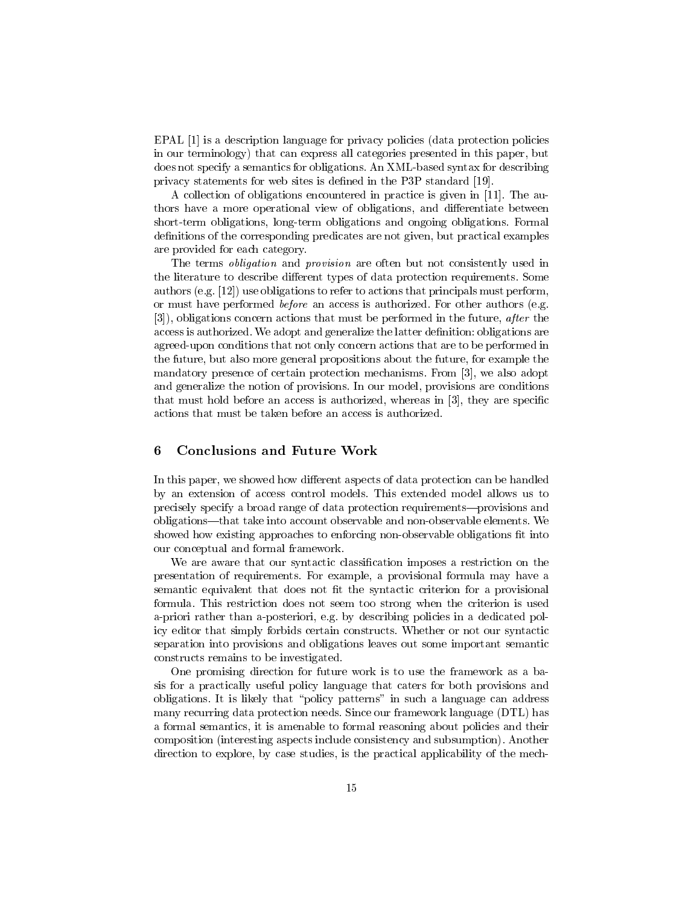EPAL [1] is a description language for privacy policies (data protection policies in our terminology) that can express all categories presented in this paper, but does not specify a semantics for obligations. An XML-based syntax for describing privacy statements for web sites is defined in the P3P standard [19].

A collection of obligations encountered in practice is given in [11]. The authors have a more operational view of obligations, and differentiate between short-term obligations, long-term obligations and ongoing obligations. Formal definitions of the corresponding predicates are not given, but practical examples are provided for each category.

The terms obligation and provision are often but not consistently used in the literature to describe different types of data protection requirements. Some authors (e.g. [12]) use obligations to refer to actions that principals must perform, or must have performed before an access is authorized. For other authors (e.g. [3]), obligations concern actions that must be performed in the future, after the access is authorized. We adopt and generalize the latter definition: obligations are agreed-upon conditions that not only concern actions that are to be performed in the future, but also more general propositions about the future, for example the mandatory presence of certain protection mechanisms. From [3], we also adopt and generalize the notion of provisions. In our model, provisions are conditions that must hold before an access is authorized, whereas in [3], they are specific actions that must be taken before an access is authorized.

### 6 Conclusions and Future Work

In this paper, we showed how different aspects of data protection can be handled by an extension of access control models. This extended model allows us to precisely specify a broad range of data protection requirements—provisions and obligations—that take into account observable and non-observable elements. We showed how existing approaches to enforcing non-observable obligations fit into our conceptual and formal framework.

We are aware that our syntactic classication imposes a restriction on the presentation of requirements. For example, a provisional formula may have a semantic equivalent that does not fit the syntactic criterion for a provisional formula. This restriction does not seem too strong when the criterion is used a-priori rather than a-posteriori, e.g. by describing policies in a dedicated policy editor that simply forbids certain constructs. Whether or not our syntactic separation into provisions and obligations leaves out some important semantic constructs remains to be investigated.

One promising direction for future work is to use the framework as a basis for a practically useful policy language that caters for both provisions and obligations. It is likely that \policy patterns" in such a language can address many recurring data protection needs. Since our framework language (DTL) has a formal semantics, it is amenable to formal reasoning about policies and their composition (interesting aspects include consistency and subsumption). Another direction to explore, by case studies, is the practical applicability of the mech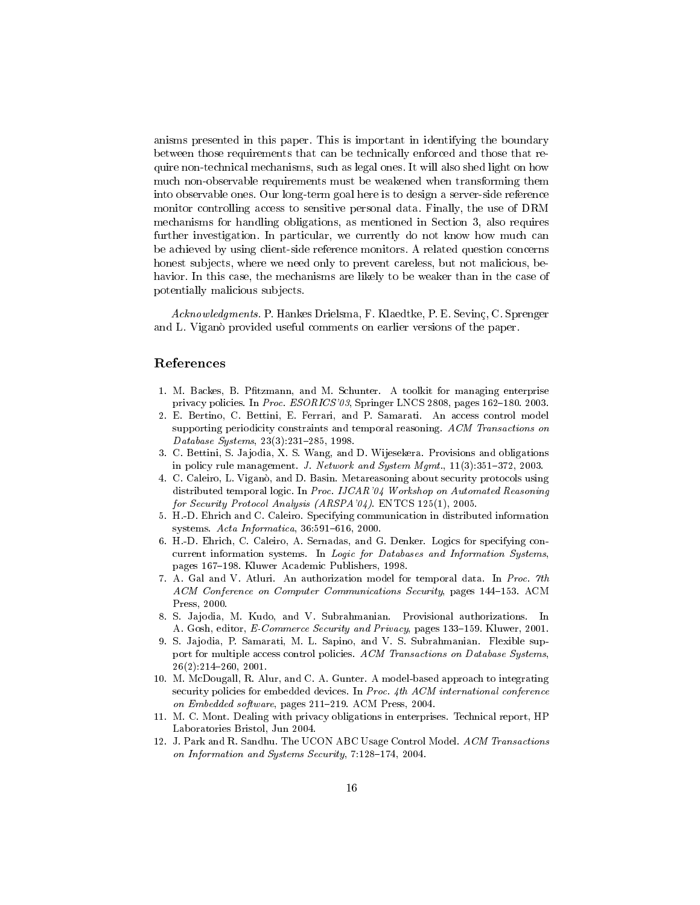anisms presented in this paper. This is important in identifying the boundary between those requirements that can be technically enforced and those that require non-technical mechanisms, such as legal ones. It will also shed light on how much non-observable requirements must be weakened when transforming them into observable ones. Our long-term goal here is to design a server-side reference monitor controlling access to sensitive personal data. Finally, the use of DRM mechanisms for handling obligations, as mentioned in Section 3, also requires further investigation. In particular, we currently do not know how much can be achieved by using client-side reference monitors. A related question concerns honest subjects, where we need only to prevent careless, but not malicious, behavior. In this case, the mechanisms are likely to be weaker than in the case of potentially malicious subjects.

Acknowledgments. P. Hankes Drielsma, F. Klaedtke, P. E. Sevinc, C. Sprenger and L. Viganò provided useful comments on earlier versions of the paper.

### References

- 1. M. Backes, B. Ptzmann, and M. Schunter. A toolkit for managing enterprise privacy policies. In Proc.  $ESORICS'03$ , Springer LNCS 2808, pages 162-180. 2003.
- 2. E. Bertino, C. Bettini, E. Ferrari, and P. Samarati. An access control model supporting periodicity constraints and temporal reasoning. ACM Transactions on Database Systems,  $23(3):231-285, 1998.$
- 3. C. Bettini, S. Jajodia, X. S. Wang, and D. Wijesekera. Provisions and obligations in policy rule management. J. Network and System Mgmt.,  $11(3):351-372$ , 2003.
- 4. C. Caleiro, L. Vigano, and D. Basin. Metareasoning about security protocols using distributed temporal logic. In Proc. IJCAR'04 Workshop on Automated Reasoning for Security Protocol Analysis (ARSPA'04). ENTCS 125(1), 2005.
- 5. H.-D. Ehrich and C. Caleiro. Specifying communication in distributed information systems. Acta Informatica,  $36:591-616$ ,  $2000$ .
- 6. H.-D. Ehrich, C. Caleiro, A. Sernadas, and G. Denker. Logics for specifying concurrent information systems. In Logic for Databases and Information Systems, pages 167-198. Kluwer Academic Publishers, 1998.
- 7. A. Gal and V. Atluri. An authorization model for temporal data. In Proc. 7th ACM Conference on Computer Communications Security, pages 144-153. ACM Press, 2000.
- 8. S. Jajodia, M. Kudo, and V. Subrahmanian. Provisional authorizations. In A. Gosh, editor, E-Commerce Security and Privacy, pages 133-159. Kluwer, 2001.
- 9. S. Jajodia, P. Samarati, M. L. Sapino, and V. S. Subrahmanian. Flexible support for multiple access control policies. ACM Transactions on Database Systems,  $26(2):214{-}260, 2001.$
- 10. M. McDougall, R. Alur, and C. A. Gunter. A model-based approach to integrating security policies for embedded devices. In Proc.  $4th$  ACM international conference on Embedded software, pages 211-219. ACM Press, 2004.
- 11. M. C. Mont. Dealing with privacy obligations in enterprises. Technical report, HP Laboratories Bristol, Jun 2004.
- 12. J. Park and R. Sandhu. The UCON ABC Usage Control Model. ACM Transactions on Information and Systems Security,  $7:128-174$ , 2004.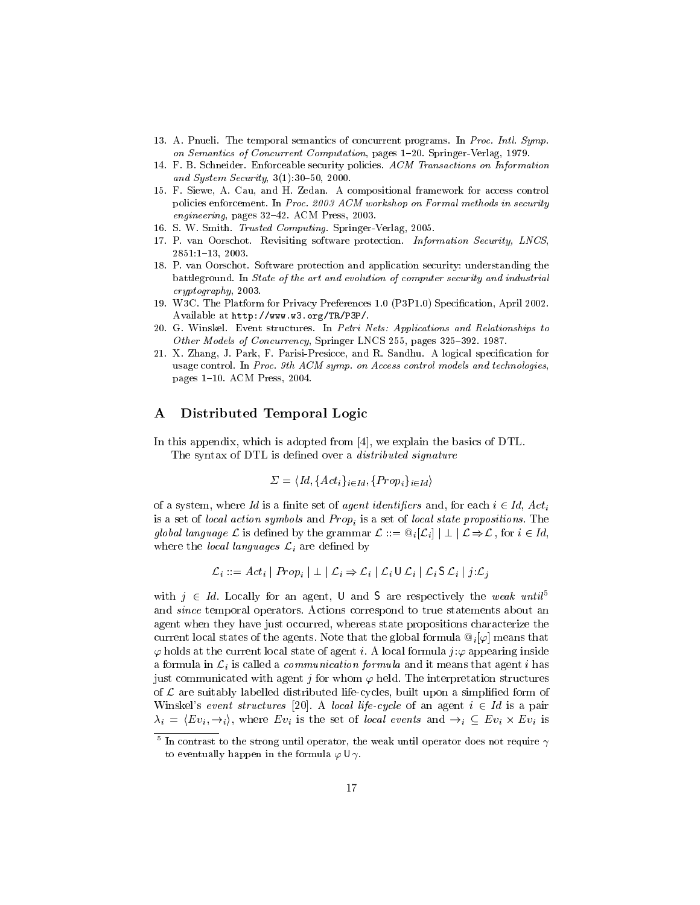- 13. A. Pnueli. The temporal semantics of concurrent programs. In Proc. Intl. Symp. on Semantics of Concurrent Computation, pages 1{20. Springer-Verlag, 1979.
- 14. F. B. Schneider. Enforceable security policies. ACM Transactions on Information and System Security,  $3(1):30{-}50$ , 2000.
- 15. F. Siewe, A. Cau, and H. Zedan. A compositional framework for access control policies enforcement. In Proc. 2003 ACM workshop on Formal methods in security engineering, pages  $32-42$ . ACM Press, 2003.
- 16. S. W. Smith. Trusted Computing. Springer-Verlag, 2005.
- 17. P. van Oorschot. Revisiting software protection. Information Security, LNCS, 2851:1{13, 2003.
- 18. P. van Oorschot. Software protection and application security: understanding the battleground. In State of the art and evolution of computer security and industrial cryptography, 2003.
- 19. W3C. The Platform for Privacy Preferences 1.0 (P3P1.0) Specication, April 2002. Available at http://www.w3.org/TR/P3P/.
- 20. G. Winskel. Event structures. In Petri Nets: Applications and Relationships to Other Models of Concurrency, Springer LNCS 255, pages 325-392. 1987.
- 21. X. Zhang, J. Park, F. Parisi-Presicce, and R. Sandhu. A logical specication for usage control. In Proc. 9th ACM symp. on Access control models and technologies, pages 1-10. ACM Press, 2004.

# A Distributed Temporal Logic

In this appendix, which is adopted from [4], we explain the basics of DTL. The syntax of DTL is defined over a *distributed signature* 

$$
\Sigma = \langle Id, \{Act_i\}_{i \in Id}, \{Prop_i\}_{i \in Id} \rangle
$$

of a system, where Id is a finite set of *agent identifiers* and, for each  $i \in Id$ , Act<sub>i</sub> is a set of local action symbols and  $Prop_i$  is a set of local state propositions. The global language  ${\cal L}$  is defined by the grammar  ${\cal L} ::= @_{i}[{\cal L}_{i}] \mid \bot \mid {\cal L} \Rightarrow {\cal L}$  , for  $i \in Id,$ where the *local languages*  $\mathcal{L}_i$  are defined by

$$
\mathcal{L}_i ::= Act_i | Prop_i | \perp | \mathcal{L}_i \Rightarrow \mathcal{L}_i | \mathcal{L}_i \cup \mathcal{L}_i | \mathcal{L}_i S \mathcal{L}_i | j:\mathcal{L}_j
$$

with  $j \in Id$ . Locally for an agent, U and S are respectively the weak until<sup>5</sup> and since temporal operators. Actions correspond to true statements about an agent when they have just occurred, whereas state propositions characterize the current local states of the agents. Note that the global formula  $@_i[\varphi]$  means that  $\varphi$  holds at the current local state of agent i. A local formula j: $\varphi$  appearing inside a formula in  $\mathcal{L}_i$  is called a *communication formula* and it means that agent  $i$  has just communicated with agent j for whom  $\varphi$  held. The interpretation structures of  $\mathcal L$  are suitably labelled distributed life-cycles, built upon a simplified form of Winskel's event structures [20]. A local life-cycle of an agent  $i \in Id$  is a pair  $\lambda_i = \langle Ev_i, \rightarrow_i \rangle$ , where  $Ev_i$  is the set of local events and  $\rightarrow_i \subseteq Ev_i \times Ev_i$  is

 $^5$  In contrast to the strong until operator, the weak until operator does not require  $\gamma$ to eventually happen in the formula  $\varphi \cup \gamma$ .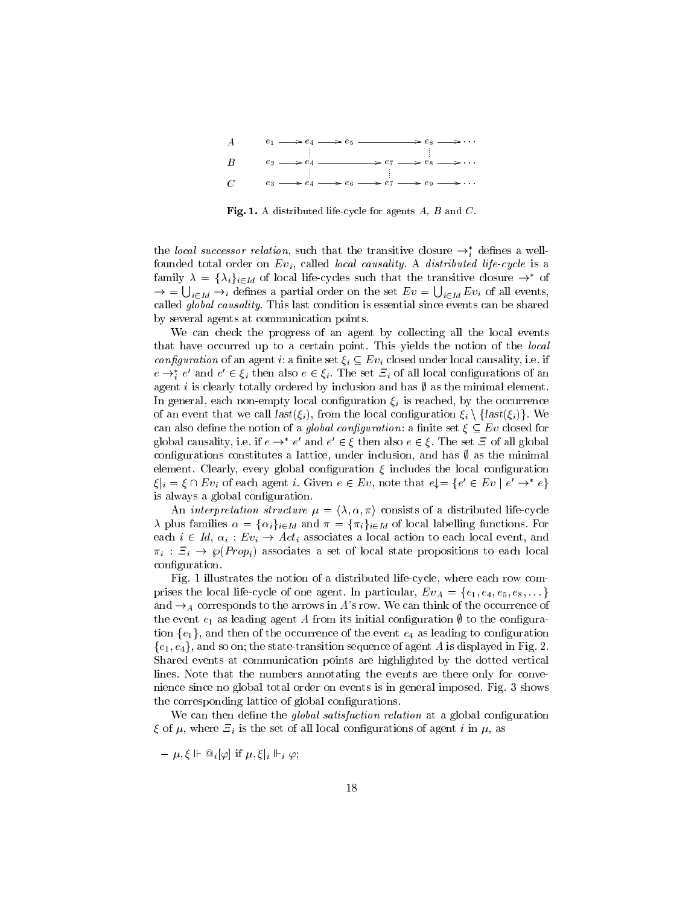

Fig. 1. A distributed life-cycle for agents A, B and C.

the local successor relation, such that the transitive closure  $\rightarrow_i^*$  defines a wellfounded total order on  $Ev_i,$  called *local causality.* A *distributed life-cycle* is a family  $\lambda = {\lambda_i}_{i \in \mathbb{N}}$  of local life-cycles such that the transitive closure  $\rightarrow^*$  of  $\rightarrow$  =  $\bigcup_{i \in Id} \rightarrow_i$  defines a partial order on the set  $Ev = \bigcup_{i \in Id} Ev_i$  of all events, called  $global\ causality$ . This last condition is essential since events can be shared by several agents at communication points.

We can check the progress of an agent by collecting all the local events that have occurred up to a certain point. This yields the notion of the local configuration of an agent i: a finite set  $\xi_i \subseteq Ev_i$  closed under local causality, i.e. if  $e \rightarrow_i^* e'$  and  $e' \in \xi_i$  then also  $e \in \xi_i$ . The set  $\mathcal{Z}_i$  of all local configurations of an agent i is clearly totally ordered by inclusion and has  $\emptyset$  as the minimal element. In general, each non-empty local configuration  $\xi_i$  is reached, by the occurrence of an event that we call  $last(\xi_i)$ , from the local configuration  $\xi_i \setminus \{last(\xi_i)\}\$ . We can also define the notion of a *global configuration*: a finite set  $\xi \subseteq Ev$  closed for global causality, i.e. if  $e \to^* e'$  and  $e' \in \xi$  then also  $e \in \xi$ . The set  $\Xi$  of all global configurations constitutes a lattice, under inclusion, and has  $\emptyset$  as the minimal element. Clearly, every global configuration  $\xi$  includes the local configuration  $\xi|_i = \xi \cap Ev_i$  of each agent i. Given  $e \in Ev$ , note that  $e \downarrow = \{e' \in Ev \mid e' \rightarrow^* e\}$ is always a global configuration.

An interpretation structure  $\mu = \langle \lambda, \alpha, \pi \rangle$  consists of a distributed life-cycle  $\lambda$  plus families  $\alpha = {\alpha_i}_{i \in \mathbb{N}}$  and  $\pi = {\pi_i}_{i \in \mathbb{N}}$  of local labelling functions. For each  $i \in Id$ ,  $\alpha_i : Ev_i \to Act_i$  associates a local action to each local event, and  $\pi_i : \mathcal{Z}_i \to \wp(Prop_i)$  associates a set of local state propositions to each local configuration.

Fig. 1 illustrates the notion of a distributed life-cycle, where each row comprises the local life-cycle of one agent. In particular,  $Ev_A = \{e_1, e_4, e_5, e_8, \dots\}$ and  $\rightarrow_A$  corresponds to the arrows in A's row. We can think of the occurrence of the event  $e_1$  as leading agent A from its initial configuration  $\emptyset$  to the configuration  $\{e_1\}$ , and then of the occurrence of the event  $e_4$  as leading to configuration  ${e_1, e_4}$ , and so on; the state-transition sequence of agent A is displayed in Fig. 2. Shared events at communication points are highlighted by the dotted vertical lines. Note that the numbers annotating the events are there only for convenience since no global total order on events is in general imposed. Fig. 3 shows the corresponding lattice of global congurations.

We can then define the *global satisfaction relation* at a global configuration  $\xi$  of  $\mu$ , where  $\mathcal{Z}_i$  is the set of all local configurations of agent i in  $\mu$ , as

$$
- \mu, \xi \Vdash \mathcal{Q}_i[\varphi] \text{ if } \mu, \xi|_i \Vdash_i \varphi;
$$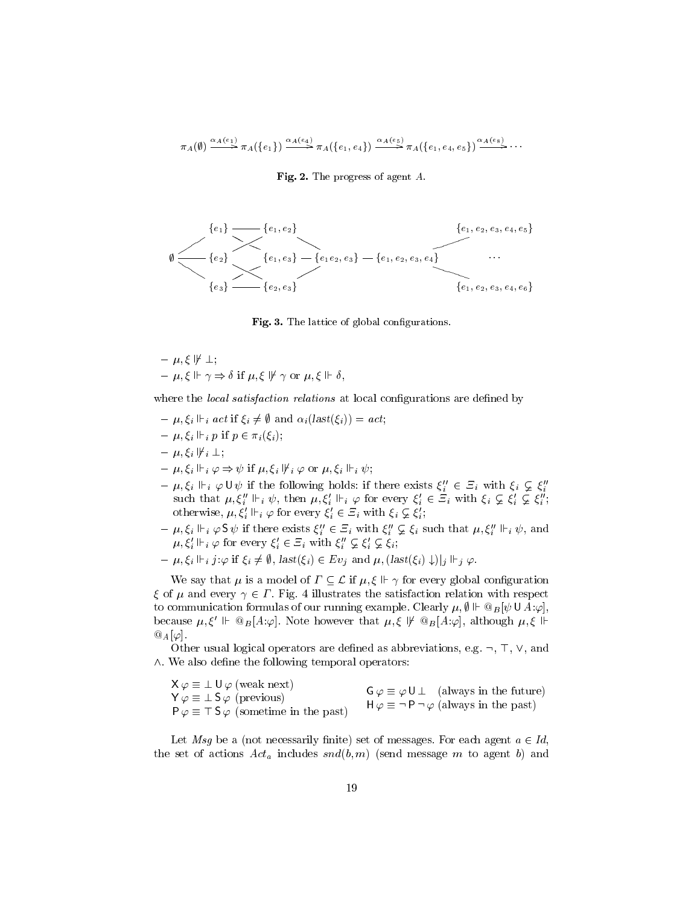$$
\pi_A(\emptyset) \xrightarrow{\alpha_A(e_1)} \pi_A(\{e_1\}) \xrightarrow{\alpha_A(e_4)} \pi_A(\{e_1,e_4\}) \xrightarrow{\alpha_A(e_5)} \pi_A(\{e_1,e_4,e_5\}) \xrightarrow{\alpha_A(e_8)} \cdots
$$

Fig. 2. The progress of agent A.



Fig. 3. The lattice of global configurations.

$$
- \mu, \xi \not \Vdash \bot;
$$
  

$$
- \mu, \xi \Vdash \gamma \Rightarrow \delta \text{ if } \mu, \xi \not \Vdash \gamma \text{ or } \mu, \xi \Vdash \delta,
$$

where the *local satisfaction relations* at local configurations are defined by

- $\mu_i \in \mathcal{L}_i \models_i act$  if  $\xi_i \neq \emptyset$  and  $\alpha_i(last(\xi_i)) = act$ ;
- $\mu, \xi_i \Vdash_i p$  if  $p \in \pi_i(\xi_i);$
- $\mu, \xi_i \,\,\Psi_i \perp;$
- $\mu = \mu, \xi_i \Vdash_i \varphi \Rightarrow \psi$  if  $\mu, \xi_i \Vdash_i \varphi$  or  $\mu, \xi_i \Vdash_i \psi;$
- $-\mu, \xi_i \Vdash_i \varphi \mathsf{U} \psi$  if the following holds: if there exists  $\xi''_i \in \Xi_i$  with  $\xi_i \subsetneq \xi''_i$  such that  $\mu, \xi''_i \Vdash_i \psi$ , then  $\mu, \xi'_i \Vdash_i \varphi$  for every  $\xi'_i \in \Xi_i$  with  $\xi_i \subsetneq \xi'_i \subsetneq \xi''_i$ ; otherwise,  $\mu, \xi'_i \Vdash_i \varphi$  for every  $\xi'_i \in \Xi_i$  with  $\xi_i \subsetneq \xi'_i$ ;
- ${}- \mu, \xi_i \Vdash_i \varphi \mathsf{S} \psi$  if there exists  $\xi''_i \in \Xi_i$  with  $\xi''_i \subsetneq \xi_i$  such that  $\mu, \xi''_i \Vdash_i \psi$ , and  $\mu, \xi'_i \Vdash_i \varphi$  for every  $\xi'_i \in \Xi_i$  with  $\xi''_i \varsubsetneq \xi'_i \varsubsetneq \xi_i$ ;
- $\mu_i = \mu_i \xi_i \Vdash_i j: \varphi$  if  $\xi_i \neq \emptyset$ ,  $last(\xi_i) \in Ev_j$  and  $\mu_i (last(\xi_i) \downarrow)|_j \Vdash_i \varphi$

We say that  $\mu$  is a model of  $\Gamma \subseteq \mathcal{L}$  if  $\mu, \xi \Vdash \gamma$  for every global configuration  $\xi$  of  $\mu$  and every  $\gamma \in \Gamma$ . Fig. 4 illustrates the satisfaction relation with respect to communication formulas of our running example. Clearly  $\mu$ ,  $\emptyset \Vdash \mathbb{Q}_B[\psi \cup A:\varphi],$ because  $\mu, \xi' \Vdash \mathcal{Q}_B[A;\varphi]$ . Note however that  $\mu, \xi \not\Vdash \mathcal{Q}_B[A;\varphi]$ , although  $\mu, \xi \Vdash$  $@_{A}[\varphi]$ .

Other usual logical operators are defined as abbreviations, e.g.  $\neg$ ,  $\neg$ ,  $\neg$ ,  $\neg$ , and  $\wedge$ . We also define the following temporal operators:

| $X \varphi \equiv \perp U \varphi$ (weak next)<br>$Y \varphi \equiv \pm S \varphi$ (previous) | $\mathsf{G}\varphi \equiv \varphi \mathsf{U} \perp$ (always in the future) |
|-----------------------------------------------------------------------------------------------|----------------------------------------------------------------------------|
| $P\varphi \equiv \top S\varphi$ (sometime in the past)                                        | $H\varphi \equiv \neg P \neg \varphi$ (always in the past)                 |

Let Msg be a (not necessarily finite) set of messages. For each agent  $a \in Id$ , the set of actions  $Act_a$  includes  $snd(b, m)$  (send message m to agent b) and